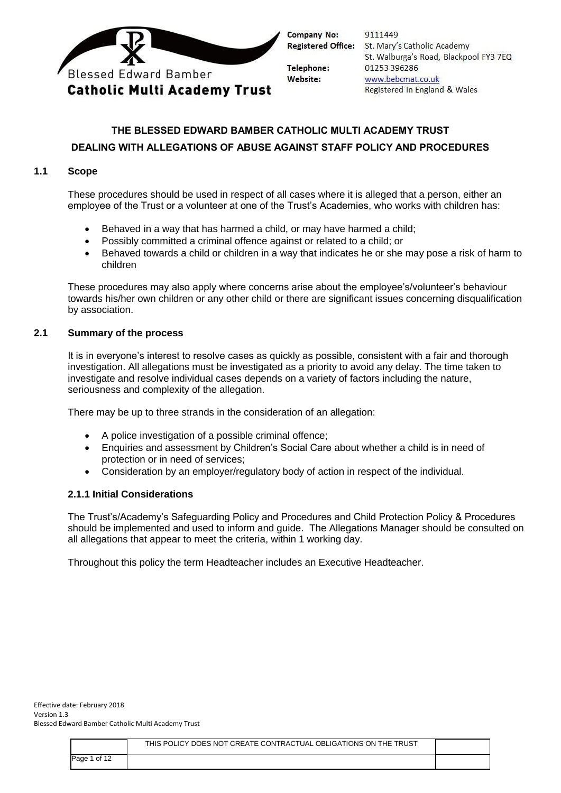

|   | 9111449                                |
|---|----------------------------------------|
| ÷ | St. Mary's Catholic Academy            |
|   | St. Walburga's Road, Blackpool FY3 7EQ |
|   | 01253396286                            |
|   | www.bebcmat.co.uk                      |
|   | Registered in England & Wales          |
|   |                                        |

# **THE BLESSED EDWARD BAMBER CATHOLIC MULTI ACADEMY TRUST DEALING WITH ALLEGATIONS OF ABUSE AGAINST STAFF POLICY AND PROCEDURES**

#### **1.1 Scope**

These procedures should be used in respect of all cases where it is alleged that a person, either an employee of the Trust or a volunteer at one of the Trust's Academies, who works with children has:

- Behaved in a way that has harmed a child, or may have harmed a child;
- Possibly committed a criminal offence against or related to a child; or
- Behaved towards a child or children in a way that indicates he or she may pose a risk of harm to children

These procedures may also apply where concerns arise about the employee's/volunteer's behaviour towards his/her own children or any other child or there are significant issues concerning disqualification by association.

#### **2.1 Summary of the process**

It is in everyone's interest to resolve cases as quickly as possible, consistent with a fair and thorough investigation. All allegations must be investigated as a priority to avoid any delay. The time taken to investigate and resolve individual cases depends on a variety of factors including the nature, seriousness and complexity of the allegation.

There may be up to three strands in the consideration of an allegation:

- A police investigation of a possible criminal offence;
- Enquiries and assessment by Children's Social Care about whether a child is in need of protection or in need of services;
- Consideration by an employer/regulatory body of action in respect of the individual.

#### **2.1.1 Initial Considerations**

The Trust's/Academy's Safeguarding Policy and Procedures and Child Protection Policy & Procedures should be implemented and used to inform and guide. The Allegations Manager should be consulted on all allegations that appear to meet the criteria, within 1 working day.

Throughout this policy the term Headteacher includes an Executive Headteacher.

|              | THIS POLICY DOES NOT CREATE CONTRACTUAL OBLIGATIONS ON THE TRUST |  |
|--------------|------------------------------------------------------------------|--|
| Page 1 of 12 |                                                                  |  |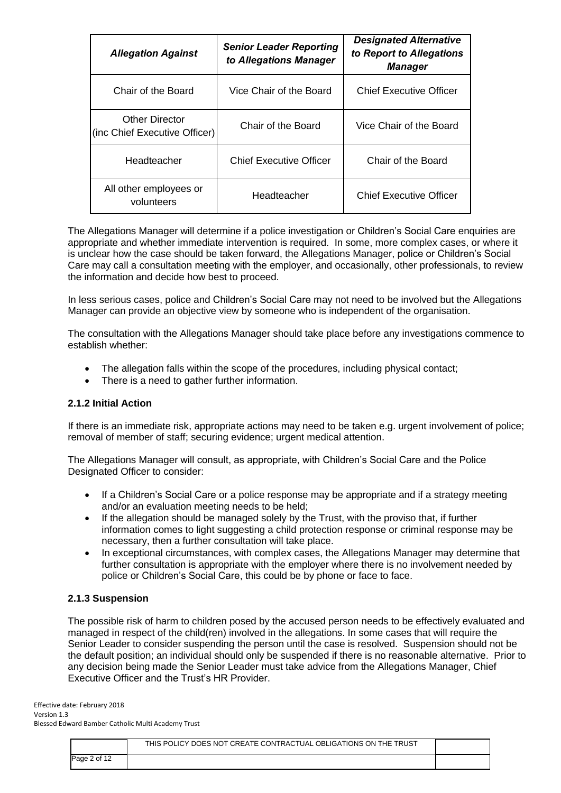| <b>Allegation Against</b>                              | <b>Senior Leader Reporting</b><br>to Allegations Manager | <b>Designated Alternative</b><br>to Report to Allegations<br>Manager |
|--------------------------------------------------------|----------------------------------------------------------|----------------------------------------------------------------------|
| Chair of the Board                                     | Vice Chair of the Board                                  | <b>Chief Executive Officer</b>                                       |
| <b>Other Director</b><br>(inc Chief Executive Officer) | Chair of the Board                                       | Vice Chair of the Board                                              |
| Headteacher                                            | Chief Executive Officer                                  | Chair of the Board                                                   |
| All other employees or<br>volunteers                   | Headteacher                                              | Chief Executive Officer                                              |

The Allegations Manager will determine if a police investigation or Children's Social Care enquiries are appropriate and whether immediate intervention is required. In some, more complex cases, or where it is unclear how the case should be taken forward, the Allegations Manager, police or Children's Social Care may call a consultation meeting with the employer, and occasionally, other professionals, to review the information and decide how best to proceed.

In less serious cases, police and Children's Social Care may not need to be involved but the Allegations Manager can provide an objective view by someone who is independent of the organisation.

The consultation with the Allegations Manager should take place before any investigations commence to establish whether:

- The allegation falls within the scope of the procedures, including physical contact;
- There is a need to gather further information.

#### **2.1.2 Initial Action**

If there is an immediate risk, appropriate actions may need to be taken e.g. urgent involvement of police; removal of member of staff; securing evidence; urgent medical attention.

The Allegations Manager will consult, as appropriate, with Children's Social Care and the Police Designated Officer to consider:

- If a Children's Social Care or a police response may be appropriate and if a strategy meeting and/or an evaluation meeting needs to be held;
- If the allegation should be managed solely by the Trust, with the proviso that, if further information comes to light suggesting a child protection response or criminal response may be necessary, then a further consultation will take place.
- In exceptional circumstances, with complex cases, the Allegations Manager may determine that further consultation is appropriate with the employer where there is no involvement needed by police or Children's Social Care, this could be by phone or face to face.

#### **2.1.3 Suspension**

The possible risk of harm to children posed by the accused person needs to be effectively evaluated and managed in respect of the child(ren) involved in the allegations. In some cases that will require the Senior Leader to consider suspending the person until the case is resolved. Suspension should not be the default position; an individual should only be suspended if there is no reasonable alternative. Prior to any decision being made the Senior Leader must take advice from the Allegations Manager, Chief Executive Officer and the Trust's HR Provider.

|              | THIS POLICY DOES NOT CREATE CONTRACTUAL OBLIGATIONS ON THE TRUST |  |
|--------------|------------------------------------------------------------------|--|
| Page 2 of 12 |                                                                  |  |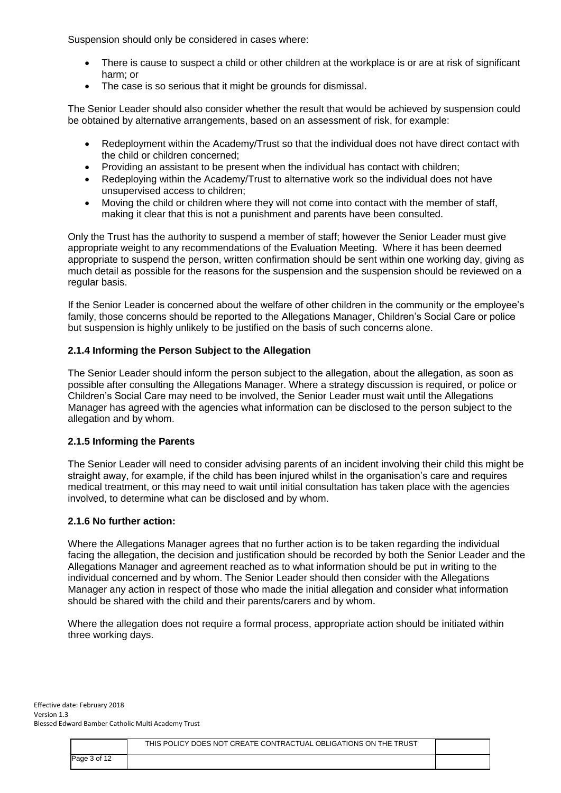Suspension should only be considered in cases where:

- There is cause to suspect a child or other children at the workplace is or are at risk of significant harm; or
- The case is so serious that it might be grounds for dismissal.

The Senior Leader should also consider whether the result that would be achieved by suspension could be obtained by alternative arrangements, based on an assessment of risk, for example:

- Redeployment within the Academy/Trust so that the individual does not have direct contact with the child or children concerned;
- Providing an assistant to be present when the individual has contact with children;
- Redeploying within the Academy/Trust to alternative work so the individual does not have unsupervised access to children;
- Moving the child or children where they will not come into contact with the member of staff, making it clear that this is not a punishment and parents have been consulted.

Only the Trust has the authority to suspend a member of staff; however the Senior Leader must give appropriate weight to any recommendations of the Evaluation Meeting. Where it has been deemed appropriate to suspend the person, written confirmation should be sent within one working day, giving as much detail as possible for the reasons for the suspension and the suspension should be reviewed on a regular basis.

If the Senior Leader is concerned about the welfare of other children in the community or the employee's family, those concerns should be reported to the Allegations Manager, Children's Social Care or police but suspension is highly unlikely to be justified on the basis of such concerns alone.

# **2.1.4 Informing the Person Subject to the Allegation**

The Senior Leader should inform the person subject to the allegation, about the allegation, as soon as possible after consulting the Allegations Manager. Where a strategy discussion is required, or police or Children's Social Care may need to be involved, the Senior Leader must wait until the Allegations Manager has agreed with the agencies what information can be disclosed to the person subject to the allegation and by whom.

#### **2.1.5 Informing the Parents**

The Senior Leader will need to consider advising parents of an incident involving their child this might be straight away, for example, if the child has been injured whilst in the organisation's care and requires medical treatment, or this may need to wait until initial consultation has taken place with the agencies involved, to determine what can be disclosed and by whom.

#### **2.1.6 No further action:**

Where the Allegations Manager agrees that no further action is to be taken regarding the individual facing the allegation, the decision and justification should be recorded by both the Senior Leader and the Allegations Manager and agreement reached as to what information should be put in writing to the individual concerned and by whom. The Senior Leader should then consider with the Allegations Manager any action in respect of those who made the initial allegation and consider what information should be shared with the child and their parents/carers and by whom.

Where the allegation does not require a formal process, appropriate action should be initiated within three working days.

|              | THIS POLICY DOES NOT CREATE CONTRACTUAL OBLIGATIONS ON THE TRUST |  |
|--------------|------------------------------------------------------------------|--|
| Page 3 of 12 |                                                                  |  |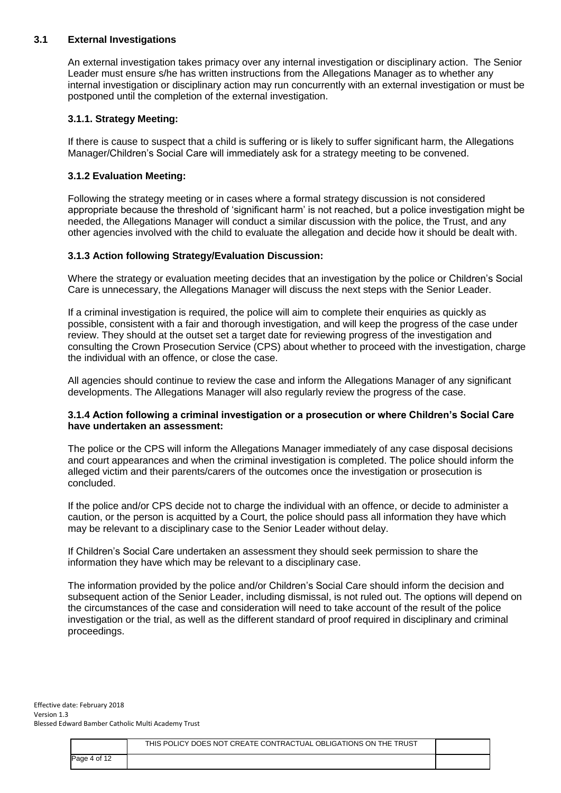### **3.1 External Investigations**

An external investigation takes primacy over any internal investigation or disciplinary action. The Senior Leader must ensure s/he has written instructions from the Allegations Manager as to whether any internal investigation or disciplinary action may run concurrently with an external investigation or must be postponed until the completion of the external investigation.

# **3.1.1. Strategy Meeting:**

If there is cause to suspect that a child is suffering or is likely to suffer significant harm, the Allegations Manager/Children's Social Care will immediately ask for a strategy meeting to be convened.

# **3.1.2 Evaluation Meeting:**

Following the strategy meeting or in cases where a formal strategy discussion is not considered appropriate because the threshold of 'significant harm' is not reached, but a police investigation might be needed, the Allegations Manager will conduct a similar discussion with the police, the Trust, and any other agencies involved with the child to evaluate the allegation and decide how it should be dealt with.

# **3.1.3 Action following Strategy/Evaluation Discussion:**

Where the strategy or evaluation meeting decides that an investigation by the police or Children's Social Care is unnecessary, the Allegations Manager will discuss the next steps with the Senior Leader.

If a criminal investigation is required, the police will aim to complete their enquiries as quickly as possible, consistent with a fair and thorough investigation, and will keep the progress of the case under review. They should at the outset set a target date for reviewing progress of the investigation and consulting the Crown Prosecution Service (CPS) about whether to proceed with the investigation, charge the individual with an offence, or close the case.

All agencies should continue to review the case and inform the Allegations Manager of any significant developments. The Allegations Manager will also regularly review the progress of the case.

#### **3.1.4 Action following a criminal investigation or a prosecution or where Children's Social Care have undertaken an assessment:**

The police or the CPS will inform the Allegations Manager immediately of any case disposal decisions and court appearances and when the criminal investigation is completed. The police should inform the alleged victim and their parents/carers of the outcomes once the investigation or prosecution is concluded.

If the police and/or CPS decide not to charge the individual with an offence, or decide to administer a caution, or the person is acquitted by a Court, the police should pass all information they have which may be relevant to a disciplinary case to the Senior Leader without delay.

If Children's Social Care undertaken an assessment they should seek permission to share the information they have which may be relevant to a disciplinary case.

The information provided by the police and/or Children's Social Care should inform the decision and subsequent action of the Senior Leader, including dismissal, is not ruled out. The options will depend on the circumstances of the case and consideration will need to take account of the result of the police investigation or the trial, as well as the different standard of proof required in disciplinary and criminal proceedings.

|              | THIS POLICY DOES NOT CREATE CONTRACTUAL OBLIGATIONS ON THE TRUST |  |
|--------------|------------------------------------------------------------------|--|
| Page 4 of 12 |                                                                  |  |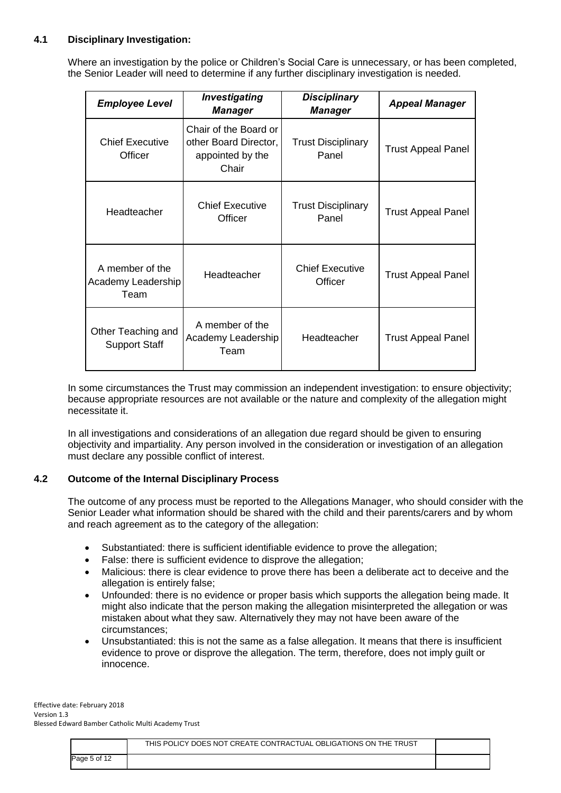# **4.1 Disciplinary Investigation:**

Where an investigation by the police or Children's Social Care is unnecessary, or has been completed, the Senior Leader will need to determine if any further disciplinary investigation is needed.

| <b>Employee Level</b>                         | Investigating<br><b>Manager</b>                                             | <b>Disciplinary</b><br><b>Manager</b> | <b>Appeal Manager</b>     |
|-----------------------------------------------|-----------------------------------------------------------------------------|---------------------------------------|---------------------------|
| <b>Chief Executive</b><br>Officer             | Chair of the Board or<br>other Board Director,<br>appointed by the<br>Chair | <b>Trust Disciplinary</b><br>Panel    | <b>Trust Appeal Panel</b> |
| Headteacher                                   | <b>Chief Executive</b><br>Officer                                           | <b>Trust Disciplinary</b><br>Panel    | <b>Trust Appeal Panel</b> |
| A member of the<br>Academy Leadership<br>Team | Headteacher                                                                 | <b>Chief Executive</b><br>Officer     | <b>Trust Appeal Panel</b> |
| Other Teaching and<br><b>Support Staff</b>    | A member of the<br>Academy Leadership<br>Team                               | Headteacher                           | <b>Trust Appeal Panel</b> |

In some circumstances the Trust may commission an independent investigation: to ensure objectivity; because appropriate resources are not available or the nature and complexity of the allegation might necessitate it.

In all investigations and considerations of an allegation due regard should be given to ensuring objectivity and impartiality. Any person involved in the consideration or investigation of an allegation must declare any possible conflict of interest.

#### **4.2 Outcome of the Internal Disciplinary Process**

The outcome of any process must be reported to the Allegations Manager, who should consider with the Senior Leader what information should be shared with the child and their parents/carers and by whom and reach agreement as to the category of the allegation:

- Substantiated: there is sufficient identifiable evidence to prove the allegation;
- False: there is sufficient evidence to disprove the allegation;
- Malicious: there is clear evidence to prove there has been a deliberate act to deceive and the allegation is entirely false;
- Unfounded: there is no evidence or proper basis which supports the allegation being made. It might also indicate that the person making the allegation misinterpreted the allegation or was mistaken about what they saw. Alternatively they may not have been aware of the circumstances;
- Unsubstantiated: this is not the same as a false allegation. It means that there is insufficient evidence to prove or disprove the allegation. The term, therefore, does not imply guilt or innocence.

|              | THIS POLICY DOES NOT CREATE CONTRACTUAL OBLIGATIONS ON THE TRUST |  |
|--------------|------------------------------------------------------------------|--|
| Page 5 of 12 |                                                                  |  |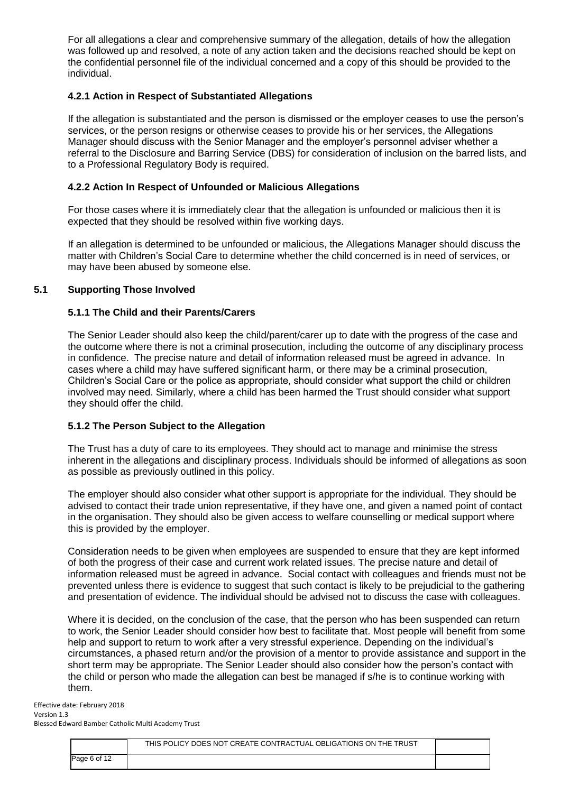For all allegations a clear and comprehensive summary of the allegation, details of how the allegation was followed up and resolved, a note of any action taken and the decisions reached should be kept on the confidential personnel file of the individual concerned and a copy of this should be provided to the individual.

# **4.2.1 Action in Respect of Substantiated Allegations**

If the allegation is substantiated and the person is dismissed or the employer ceases to use the person's services, or the person resigns or otherwise ceases to provide his or her services, the Allegations Manager should discuss with the Senior Manager and the employer's personnel adviser whether a referral to the Disclosure and Barring Service (DBS) for consideration of inclusion on the barred lists, and to a Professional Regulatory Body is required.

#### **4.2.2 Action In Respect of Unfounded or Malicious Allegations**

For those cases where it is immediately clear that the allegation is unfounded or malicious then it is expected that they should be resolved within five working days.

If an allegation is determined to be unfounded or malicious, the Allegations Manager should discuss the matter with Children's Social Care to determine whether the child concerned is in need of services, or may have been abused by someone else.

#### **5.1 Supporting Those Involved**

#### **5.1.1 The Child and their Parents/Carers**

The Senior Leader should also keep the child/parent/carer up to date with the progress of the case and the outcome where there is not a criminal prosecution, including the outcome of any disciplinary process in confidence. The precise nature and detail of information released must be agreed in advance. In cases where a child may have suffered significant harm, or there may be a criminal prosecution, Children's Social Care or the police as appropriate, should consider what support the child or children involved may need. Similarly, where a child has been harmed the Trust should consider what support they should offer the child.

#### **5.1.2 The Person Subject to the Allegation**

The Trust has a duty of care to its employees. They should act to manage and minimise the stress inherent in the allegations and disciplinary process. Individuals should be informed of allegations as soon as possible as previously outlined in this policy.

The employer should also consider what other support is appropriate for the individual. They should be advised to contact their trade union representative, if they have one, and given a named point of contact in the organisation. They should also be given access to welfare counselling or medical support where this is provided by the employer.

Consideration needs to be given when employees are suspended to ensure that they are kept informed of both the progress of their case and current work related issues. The precise nature and detail of information released must be agreed in advance. Social contact with colleagues and friends must not be prevented unless there is evidence to suggest that such contact is likely to be prejudicial to the gathering and presentation of evidence. The individual should be advised not to discuss the case with colleagues.

Where it is decided, on the conclusion of the case, that the person who has been suspended can return to work, the Senior Leader should consider how best to facilitate that. Most people will benefit from some help and support to return to work after a very stressful experience. Depending on the individual's circumstances, a phased return and/or the provision of a mentor to provide assistance and support in the short term may be appropriate. The Senior Leader should also consider how the person's contact with the child or person who made the allegation can best be managed if s/he is to continue working with them.

|              | THIS POLICY DOES NOT CREATE CONTRACTUAL OBLIGATIONS ON THE TRUST |  |
|--------------|------------------------------------------------------------------|--|
| Page 6 of 12 |                                                                  |  |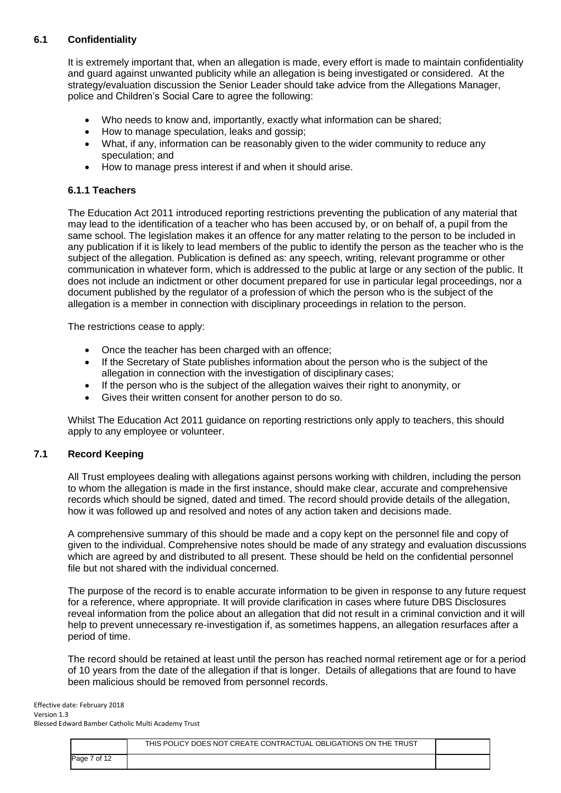# **6.1 Confidentiality**

It is extremely important that, when an allegation is made, every effort is made to maintain confidentiality and guard against unwanted publicity while an allegation is being investigated or considered. At the strategy/evaluation discussion the Senior Leader should take advice from the Allegations Manager, police and Children's Social Care to agree the following:

- Who needs to know and, importantly, exactly what information can be shared;
- How to manage speculation, leaks and gossip:
- What, if any, information can be reasonably given to the wider community to reduce any speculation; and
- How to manage press interest if and when it should arise.

### **6.1.1 Teachers**

The Education Act 2011 introduced reporting restrictions preventing the publication of any material that may lead to the identification of a teacher who has been accused by, or on behalf of, a pupil from the same school. The legislation makes it an offence for any matter relating to the person to be included in any publication if it is likely to lead members of the public to identify the person as the teacher who is the subject of the allegation. Publication is defined as: any speech, writing, relevant programme or other communication in whatever form, which is addressed to the public at large or any section of the public. It does not include an indictment or other document prepared for use in particular legal proceedings, nor a document published by the regulator of a profession of which the person who is the subject of the allegation is a member in connection with disciplinary proceedings in relation to the person.

The restrictions cease to apply:

- Once the teacher has been charged with an offence;
- If the Secretary of State publishes information about the person who is the subject of the allegation in connection with the investigation of disciplinary cases;
- If the person who is the subject of the allegation waives their right to anonymity, or
- Gives their written consent for another person to do so.

Whilst The Education Act 2011 guidance on reporting restrictions only apply to teachers, this should apply to any employee or volunteer.

#### **7.1 Record Keeping**

All Trust employees dealing with allegations against persons working with children, including the person to whom the allegation is made in the first instance, should make clear, accurate and comprehensive records which should be signed, dated and timed. The record should provide details of the allegation, how it was followed up and resolved and notes of any action taken and decisions made.

A comprehensive summary of this should be made and a copy kept on the personnel file and copy of given to the individual. Comprehensive notes should be made of any strategy and evaluation discussions which are agreed by and distributed to all present. These should be held on the confidential personnel file but not shared with the individual concerned.

The purpose of the record is to enable accurate information to be given in response to any future request for a reference, where appropriate. It will provide clarification in cases where future DBS Disclosures reveal information from the police about an allegation that did not result in a criminal conviction and it will help to prevent unnecessary re-investigation if, as sometimes happens, an allegation resurfaces after a period of time.

The record should be retained at least until the person has reached normal retirement age or for a period of 10 years from the date of the allegation if that is longer. Details of allegations that are found to have been malicious should be removed from personnel records.

|              | THIS POLICY DOES NOT CREATE CONTRACTUAL OBLIGATIONS ON THE TRUST |  |
|--------------|------------------------------------------------------------------|--|
| Page 7 of 12 |                                                                  |  |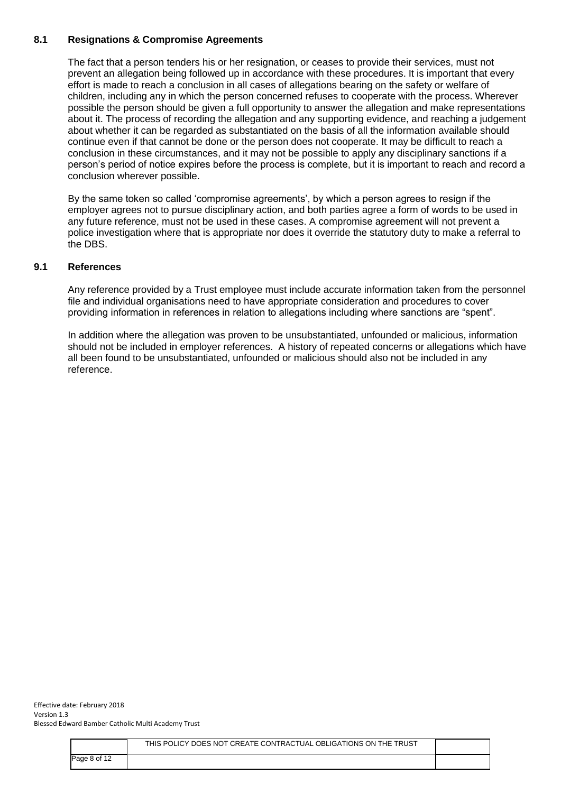# **8.1 Resignations & Compromise Agreements**

The fact that a person tenders his or her resignation, or ceases to provide their services, must not prevent an allegation being followed up in accordance with these procedures. It is important that every effort is made to reach a conclusion in all cases of allegations bearing on the safety or welfare of children, including any in which the person concerned refuses to cooperate with the process. Wherever possible the person should be given a full opportunity to answer the allegation and make representations about it. The process of recording the allegation and any supporting evidence, and reaching a judgement about whether it can be regarded as substantiated on the basis of all the information available should continue even if that cannot be done or the person does not cooperate. It may be difficult to reach a conclusion in these circumstances, and it may not be possible to apply any disciplinary sanctions if a person's period of notice expires before the process is complete, but it is important to reach and record a conclusion wherever possible.

By the same token so called 'compromise agreements', by which a person agrees to resign if the employer agrees not to pursue disciplinary action, and both parties agree a form of words to be used in any future reference, must not be used in these cases. A compromise agreement will not prevent a police investigation where that is appropriate nor does it override the statutory duty to make a referral to the DBS.

# **9.1 References**

Any reference provided by a Trust employee must include accurate information taken from the personnel file and individual organisations need to have appropriate consideration and procedures to cover providing information in references in relation to allegations including where sanctions are "spent".

In addition where the allegation was proven to be unsubstantiated, unfounded or malicious, information should not be included in employer references. A history of repeated concerns or allegations which have all been found to be unsubstantiated, unfounded or malicious should also not be included in any reference.

|              | THIS POLICY DOES NOT CREATE CONTRACTUAL OBLIGATIONS ON THE TRUST |  |
|--------------|------------------------------------------------------------------|--|
| Page 8 of 12 |                                                                  |  |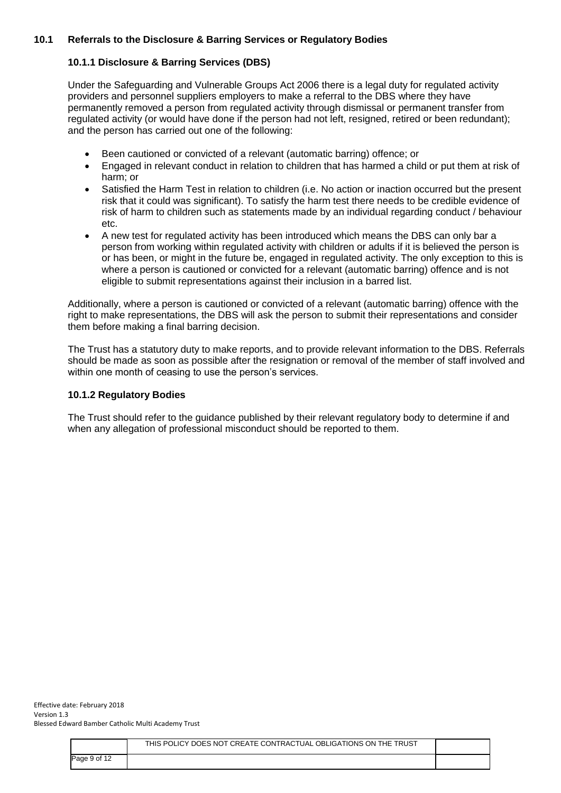# **10.1 Referrals to the Disclosure & Barring Services or Regulatory Bodies**

#### **10.1.1 Disclosure & Barring Services (DBS)**

Under the Safeguarding and Vulnerable Groups Act 2006 there is a legal duty for regulated activity providers and personnel suppliers employers to make a referral to the DBS where they have permanently removed a person from regulated activity through dismissal or permanent transfer from regulated activity (or would have done if the person had not left, resigned, retired or been redundant); and the person has carried out one of the following:

- Been cautioned or convicted of a relevant (automatic barring) offence; or
- Engaged in relevant conduct in relation to children that has harmed a child or put them at risk of harm; or
- Satisfied the Harm Test in relation to children (i.e. No action or inaction occurred but the present risk that it could was significant). To satisfy the harm test there needs to be credible evidence of risk of harm to children such as statements made by an individual regarding conduct / behaviour etc.
- A new test for regulated activity has been introduced which means the DBS can only bar a person from working within regulated activity with children or adults if it is believed the person is or has been, or might in the future be, engaged in regulated activity. The only exception to this is where a person is cautioned or convicted for a relevant (automatic barring) offence and is not eligible to submit representations against their inclusion in a barred list.

Additionally, where a person is cautioned or convicted of a relevant (automatic barring) offence with the right to make representations, the DBS will ask the person to submit their representations and consider them before making a final barring decision.

The Trust has a statutory duty to make reports, and to provide relevant information to the DBS. Referrals should be made as soon as possible after the resignation or removal of the member of staff involved and within one month of ceasing to use the person's services.

### **10.1.2 Regulatory Bodies**

The Trust should refer to the guidance published by their relevant regulatory body to determine if and when any allegation of professional misconduct should be reported to them.

|              | THIS POLICY DOES NOT CREATE CONTRACTUAL OBLIGATIONS ON THE TRUST |  |
|--------------|------------------------------------------------------------------|--|
| Page 9 of 12 |                                                                  |  |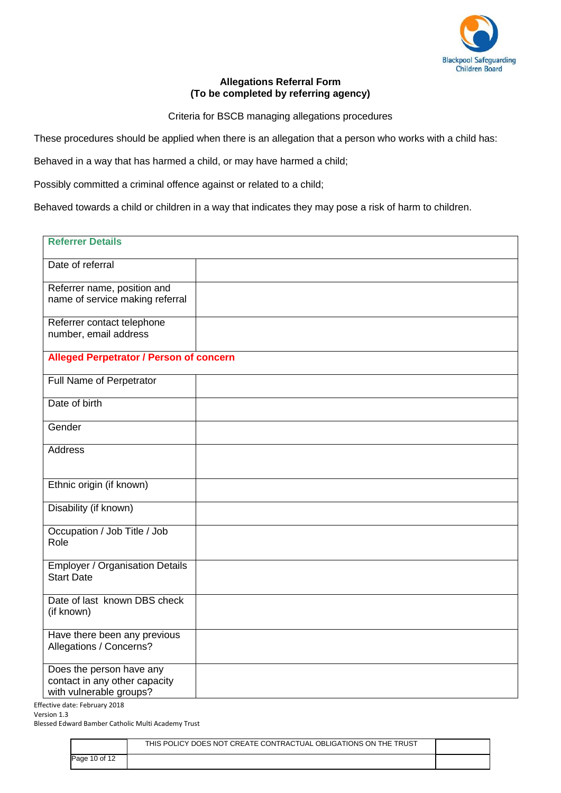

# **Allegations Referral Form (To be completed by referring agency)**

Criteria for BSCB managing allegations procedures

These procedures should be applied when there is an allegation that a person who works with a child has:

Behaved in a way that has harmed a child, or may have harmed a child;

Possibly committed a criminal offence against or related to a child;

Behaved towards a child or children in a way that indicates they may pose a risk of harm to children.

| <b>Referrer Details</b>                                                                               |  |  |  |  |
|-------------------------------------------------------------------------------------------------------|--|--|--|--|
| Date of referral                                                                                      |  |  |  |  |
| Referrer name, position and<br>name of service making referral                                        |  |  |  |  |
| Referrer contact telephone<br>number, email address                                                   |  |  |  |  |
| <b>Alleged Perpetrator / Person of concern</b>                                                        |  |  |  |  |
| <b>Full Name of Perpetrator</b>                                                                       |  |  |  |  |
| Date of birth                                                                                         |  |  |  |  |
| Gender                                                                                                |  |  |  |  |
| <b>Address</b>                                                                                        |  |  |  |  |
| Ethnic origin (if known)                                                                              |  |  |  |  |
| Disability (if known)                                                                                 |  |  |  |  |
| Occupation / Job Title / Job<br>Role                                                                  |  |  |  |  |
| <b>Employer / Organisation Details</b><br><b>Start Date</b>                                           |  |  |  |  |
| Date of last known DBS check<br>(if known)                                                            |  |  |  |  |
| Have there been any previous<br>Allegations / Concerns?                                               |  |  |  |  |
| Does the person have any<br>contact in any other capacity<br>with vulnerable groups?<br>$\frac{1}{2}$ |  |  |  |  |

Effective date: February 2018

Version 1.3

Blessed Edward Bamber Catholic Multi Academy Trust

|               | THIS POLICY DOES NOT CREATE CONTRACTUAL OBLIGATIONS ON THE TRUST |  |
|---------------|------------------------------------------------------------------|--|
| Page 10 of 12 |                                                                  |  |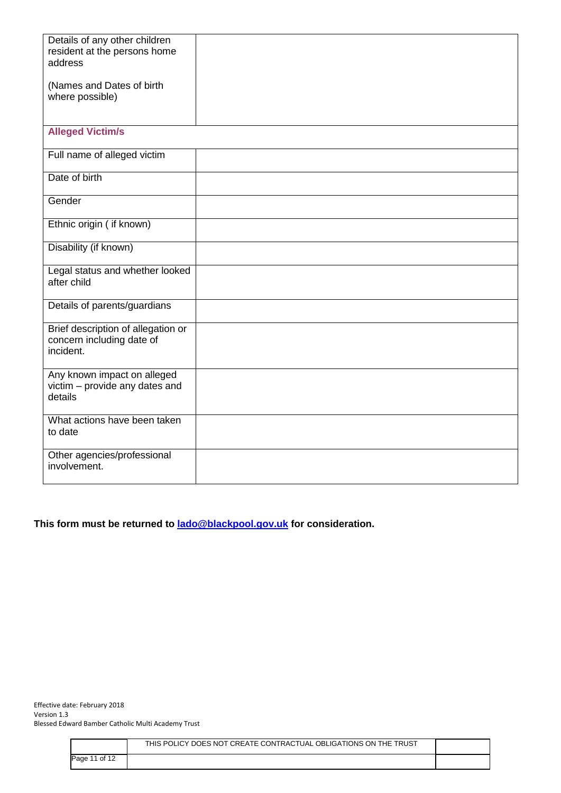| Details of any other children<br>resident at the persons home                |  |
|------------------------------------------------------------------------------|--|
| address                                                                      |  |
| (Names and Dates of birth<br>where possible)                                 |  |
|                                                                              |  |
| <b>Alleged Victim/s</b>                                                      |  |
| Full name of alleged victim                                                  |  |
| Date of birth                                                                |  |
| Gender                                                                       |  |
| Ethnic origin ( if known)                                                    |  |
| Disability (if known)                                                        |  |
| Legal status and whether looked<br>after child                               |  |
| Details of parents/guardians                                                 |  |
| Brief description of allegation or<br>concern including date of<br>incident. |  |
| Any known impact on alleged<br>victim - provide any dates and<br>details     |  |
| What actions have been taken<br>to date                                      |  |
| Other agencies/professional<br>involvement.                                  |  |

# **This form must be returned to [lado@blackpool.gov.uk](mailto:lado@blackpool.gov.uk) for consideration.**

|               | THIS POLICY DOES NOT CREATE CONTRACTUAL OBLIGATIONS ON THE TRUST |  |
|---------------|------------------------------------------------------------------|--|
| Page 11 of 12 |                                                                  |  |